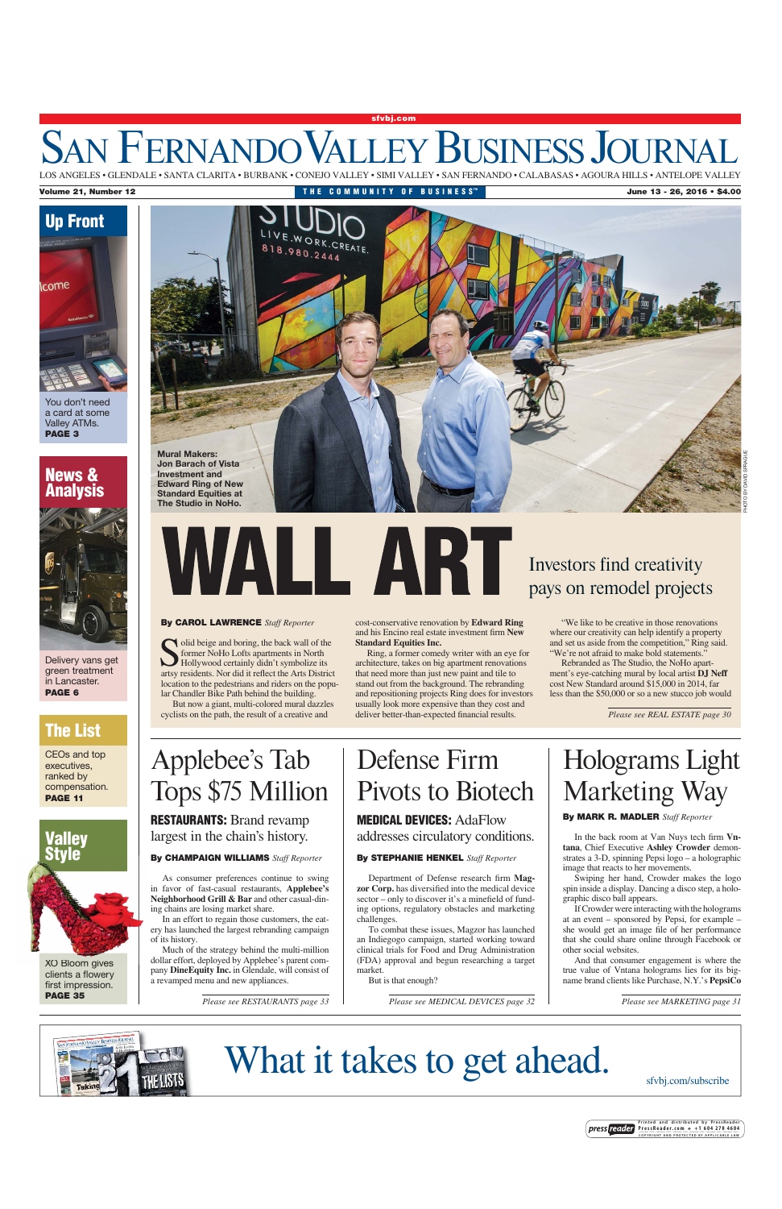### SAN FERNANDO VALLEY BUSINESS JOURNA **sfvbj.com** LOS ANGELES • GLENDALE • SANTA CLARITA • BURBANK • CONEJO VALLEY • SIMI VALLEY • SAN FERNANDO • CALABASAS • AGOURA HILLS • ANTELOPE VALLEY



'ou don't need a card at some Valley ATMs. **PAGE 3**

### **News & Analysis**



Delivery vans get green treatment in Lancaster. **PAGE 6**

### **The List**

CEOs and top executives, ranked by compensation. **PAGE 11**



XO Bloom gives XO gives clients a flowery first impression. **PAGE 35**



## LA RT

**By CAROL LAWRENCE** *Staff Reporter*

olid beige and boring, the back wall of the former NoHo Lofts apartments in North Hollywood certainly didn't symbolize its artsy residents. Nor did it reflect the Arts District location to the pedestrians and riders on the popular Chandler Bike Path behind the building.

But now a giant, multi-colored mural dazzles cyclists on the path, the result of a creative and

## Applebee's Tab Tops \$75 Million

**RESTAURANTS:** Brand revamp largest in the chain's history.

#### **By CHAMPAIGN WILLIAMS** *Staff Reporter*

As consumer preferences continue to swing in favor of fast-casual restaurants, **Applebee's Neighborhood Grill & Bar** and other casual-dining chains are losing market share.

In an effort to regain those customers, the eatery has launched the largest rebranding campaign of its history.

Much of the strategy behind the multi-million dollar effort, deployed by Applebee's parent company **DineEquity Inc.** in Glendale, will consist of

a revamped menu and new appliances.

#### cost-conservative renovation by **Edward Ring** and his Encino real estate investment firm **New Standard Equities Inc.**

Ring, a former comedy writer with an eye for architecture, takes on big apartment renovations that need more than just new paint and tile to stand out from the background. The rebranding and repositioning projects Ring does for investors usually look more expensive than they cost and deliver better-than-expected financial results.

### Investors find creativity pays on remodel projects

"We like to be creative in those renovations where our creativity can help identify a property and set us aside from the competition," Ring said. "We're not afraid to make bold statements."

Rebranded as The Studio, the NoHo apartment's eye-catching mural by local artist **DJ Neff** cost New Standard around \$15,000 in 2014, far less than the \$50,000 or so a new stucco job would

*Please see REAL ESTATE page 30*

### Defense Firm Pivots to Biotech **MEDICAL DEVICES:** AdaFlow

addresses circulatory conditions.

#### **By STEPHANIE HENKEL** *Staff Reporter*

Department of Defense research firm **Magzor Corp.** has diversified into the medical device sector – only to discover it's a minefield of funding options, regulatory obstacles and marketing challenges.

To combat these issues, Magzor has launched an Indiegogo campaign, started working toward clinical trials for Food and Drug Administration (FDA) approval and begun researching a target market.

#### But is that enough?

*Please see RESTAURANTS page 33 Please see MEDICAL DEVICES page 32 Please see MARKETING page 31*

## Holograms Light Marketing Way

#### **By MARK R. MADLER** *Staff Reporter*

In the back room at Van Nuys tech firm **Vntana**, Chief Executive **Ashley Crowder** demonstrates a 3-D, spinning Pepsi logo – a holographic image that reacts to her movements.

Swiping her hand, Crowder makes the logo spin inside a display. Dancing a disco step, a holographic disco ball appears.

If Crowder were interacting with the holograms at an event – sponsored by Pepsi, for example – she would get an image file of her performance that she could share online through Facebook or other social websites.

And that consumer engagement is where the true value of Vntana holograms lies for its bigname brand clients like Purchase, N.Y.'s **PepsiCo** 



# What it takes to get ahead.